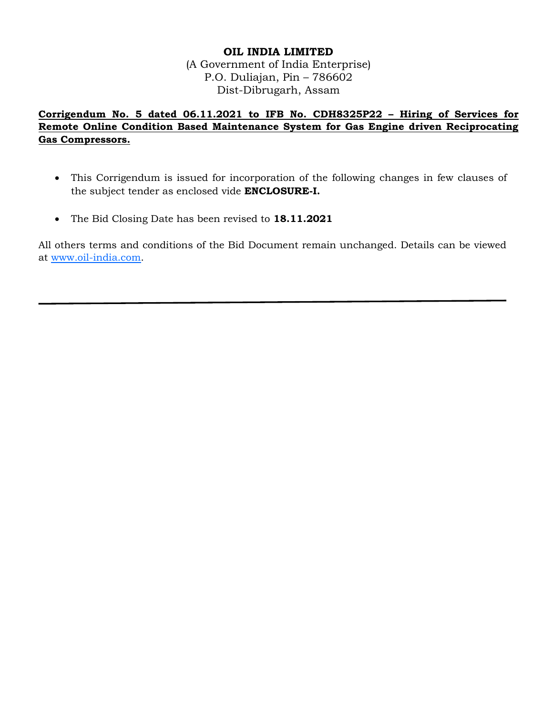## **OIL INDIA LIMITED**

(A Government of India Enterprise) P.O. Duliajan, Pin – 786602 Dist-Dibrugarh, Assam

**Corrigendum No. 5 dated 06.11.2021 to IFB No. CDH8325P22 – Hiring of Services for Remote Online Condition Based Maintenance System for Gas Engine driven Reciprocating Gas Compressors.**

- This Corrigendum is issued for incorporation of the following changes in few clauses of the subject tender as enclosed vide **ENCLOSURE-I.**
- The Bid Closing Date has been revised to **18.11.2021**

All others terms and conditions of the Bid Document remain unchanged. Details can be viewed at [www.oil-india.com.](http://www.oil-india.com/)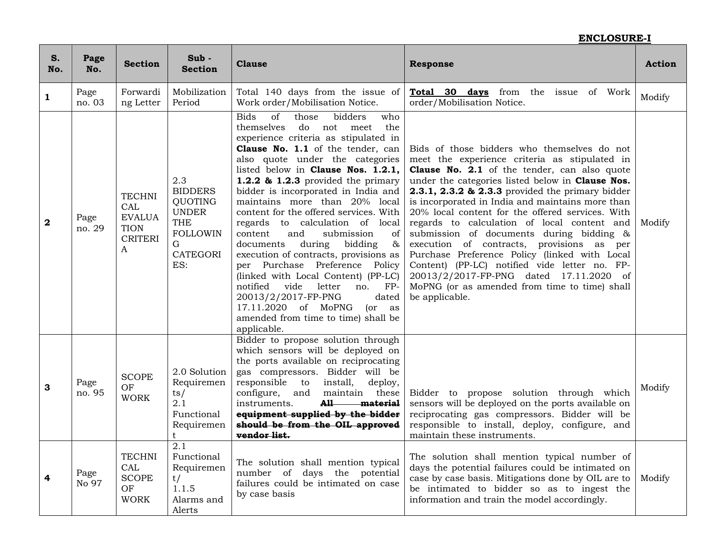| S.<br>No.   | Page<br>No.    | <b>Section</b>                                                                         | Sub-<br><b>Section</b>                                                                                                  | <b>Clause</b>                                                                                                                                                                                                                                                                                                                                                                                                                                                                                                                                                                                                                                                                                                                                                                                                | <b>Response</b>                                                                                                                                                                                                                                                                                                                                                                                                                                                                                                                                                                                                                                                                                                                    | <b>Action</b> |
|-------------|----------------|----------------------------------------------------------------------------------------|-------------------------------------------------------------------------------------------------------------------------|--------------------------------------------------------------------------------------------------------------------------------------------------------------------------------------------------------------------------------------------------------------------------------------------------------------------------------------------------------------------------------------------------------------------------------------------------------------------------------------------------------------------------------------------------------------------------------------------------------------------------------------------------------------------------------------------------------------------------------------------------------------------------------------------------------------|------------------------------------------------------------------------------------------------------------------------------------------------------------------------------------------------------------------------------------------------------------------------------------------------------------------------------------------------------------------------------------------------------------------------------------------------------------------------------------------------------------------------------------------------------------------------------------------------------------------------------------------------------------------------------------------------------------------------------------|---------------|
| 1           | Page<br>no. 03 | Forwardi<br>ng Letter                                                                  | Mobilization<br>Period                                                                                                  | Total 140 days from the issue of<br>Work order/Mobilisation Notice.                                                                                                                                                                                                                                                                                                                                                                                                                                                                                                                                                                                                                                                                                                                                          | Total 30 days from the issue of Work<br>order/Mobilisation Notice.                                                                                                                                                                                                                                                                                                                                                                                                                                                                                                                                                                                                                                                                 | Modify        |
| $\mathbf 2$ | Page<br>no. 29 | <b>TECHNI</b><br>CAL<br><b>EVALUA</b><br><b>TION</b><br><b>CRITERI</b><br>$\mathsf{A}$ | 2.3<br><b>BIDDERS</b><br><b>QUOTING</b><br><b>UNDER</b><br><b>THE</b><br><b>FOLLOWIN</b><br>G<br><b>CATEGORI</b><br>ES: | <b>Bids</b><br>of<br>bidders<br>those<br>who<br>themselves<br>do<br>not meet<br>the<br>experience criteria as stipulated in<br>Clause No. 1.1 of the tender, can<br>also quote under the categories<br>listed below in Clause Nos. 1.2.1,<br>1.2.2 & 1.2.3 provided the primary<br>bidder is incorporated in India and<br>maintains more than 20% local<br>content for the offered services. With<br>regards to calculation of local<br>content<br>and<br>submission<br>of<br>$\&$<br>documents<br>during<br>bidding<br>execution of contracts, provisions as<br>per Purchase Preference Policy<br>(linked with Local Content) (PP-LC)<br>notified<br>vide<br>letter<br>$FP-$<br>no.<br>20013/2/2017-FP-PNG<br>dated<br>17.11.2020 of MoPNG<br>(or as)<br>amended from time to time) shall be<br>applicable. | Bids of those bidders who themselves do not<br>meet the experience criteria as stipulated in<br><b>Clause No. 2.1</b> of the tender, can also quote<br>under the categories listed below in <b>Clause Nos.</b><br>2.3.1, 2.3.2 & 2.3.3 provided the primary bidder<br>is incorporated in India and maintains more than<br>20% local content for the offered services. With<br>regards to calculation of local content and<br>submission of documents during bidding &<br>execution of contracts, provisions as per<br>Purchase Preference Policy (linked with Local<br>Content) (PP-LC) notified vide letter no. FP-<br>20013/2/2017-FP-PNG dated 17.11.2020 of<br>MoPNG (or as amended from time to time) shall<br>be applicable. | Modify        |
| 3           | Page<br>no. 95 | <b>SCOPE</b><br>OF<br><b>WORK</b>                                                      | 2.0 Solution<br>Requiremen<br>ts/<br>2.1<br>Functional<br>Requiremen<br>t                                               | Bidder to propose solution through<br>which sensors will be deployed on<br>the ports available on reciprocating<br>gas compressors. Bidder will be<br>responsible to<br>install,<br>deploy,<br>configure,<br>and<br>maintain these<br>instruments.<br>A11<br><del>material</del><br>equipment supplied by the bidder<br>should be from the OIL approved<br>vendor list.                                                                                                                                                                                                                                                                                                                                                                                                                                      | Bidder to propose solution through which<br>sensors will be deployed on the ports available on<br>reciprocating gas compressors. Bidder will be<br>responsible to install, deploy, configure, and<br>maintain these instruments.                                                                                                                                                                                                                                                                                                                                                                                                                                                                                                   | Modify        |
| 4           | Page<br>No 97  | <b>TECHNI</b><br>CAL<br><b>SCOPE</b><br>OF<br><b>WORK</b>                              | 2.1<br>Functional<br>Requiremen<br>t/<br>1.1.5<br>Alarms and<br>Alerts                                                  | The solution shall mention typical<br>number of days the potential<br>failures could be intimated on case<br>by case basis                                                                                                                                                                                                                                                                                                                                                                                                                                                                                                                                                                                                                                                                                   | The solution shall mention typical number of<br>days the potential failures could be intimated on<br>case by case basis. Mitigations done by OIL are to<br>be intimated to bidder so as to ingest the<br>information and train the model accordingly.                                                                                                                                                                                                                                                                                                                                                                                                                                                                              | Modify        |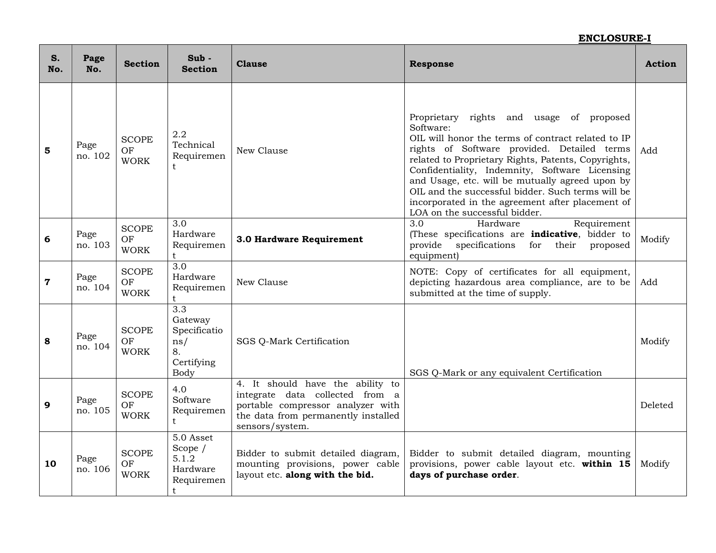| S.<br>No.   | Page<br>No.     | <b>Section</b>                    | $Sub -$<br><b>Section</b>                                                      | <b>Clause</b>                                                                                                                                                      | <b>Response</b>                                                                                                                                                                                                                                                                                                                                                                                                                                                  | <b>Action</b> |
|-------------|-----------------|-----------------------------------|--------------------------------------------------------------------------------|--------------------------------------------------------------------------------------------------------------------------------------------------------------------|------------------------------------------------------------------------------------------------------------------------------------------------------------------------------------------------------------------------------------------------------------------------------------------------------------------------------------------------------------------------------------------------------------------------------------------------------------------|---------------|
| 5           | Page<br>no. 102 | <b>SCOPE</b><br>OF<br><b>WORK</b> | 2.2<br>Technical<br>Requiremen<br>t.                                           | New Clause                                                                                                                                                         | Proprietary rights and usage of proposed<br>Software:<br>OIL will honor the terms of contract related to IP<br>rights of Software provided. Detailed terms<br>related to Proprietary Rights, Patents, Copyrights,<br>Confidentiality, Indemnity, Software Licensing<br>and Usage, etc. will be mutually agreed upon by<br>OIL and the successful bidder. Such terms will be<br>incorporated in the agreement after placement of<br>LOA on the successful bidder. | Add           |
| 6           | Page<br>no. 103 | <b>SCOPE</b><br>OF<br><b>WORK</b> | 3.0<br>Hardware<br>Requiremen                                                  | 3.0 Hardware Requirement                                                                                                                                           | $\overline{3.0}$<br>Hardware<br>Requirement<br>(These specifications are indicative, bidder to<br>specifications<br>their<br>provide<br>for<br>proposed<br>equipment)                                                                                                                                                                                                                                                                                            | Modify        |
| $\mathbf 7$ | Page<br>no. 104 | <b>SCOPE</b><br>OF<br><b>WORK</b> | $\overline{3.0}$<br>Hardware<br>Requiremen<br>t                                | New Clause                                                                                                                                                         | NOTE: Copy of certificates for all equipment,<br>depicting hazardous area compliance, are to be<br>submitted at the time of supply.                                                                                                                                                                                                                                                                                                                              | Add           |
| 8           | Page<br>no. 104 | <b>SCOPE</b><br>OF<br><b>WORK</b> | $\overline{3.3}$<br>Gateway<br>Specificatio<br>ns/<br>8.<br>Certifying<br>Body | SGS Q-Mark Certification                                                                                                                                           | SGS Q-Mark or any equivalent Certification                                                                                                                                                                                                                                                                                                                                                                                                                       | Modify        |
| 9           | Page<br>no. 105 | <b>SCOPE</b><br>OF<br><b>WORK</b> | 4.0<br>Software<br>Requiremen<br>t.                                            | 4. It should have the ability to<br>integrate data collected from a<br>portable compressor analyzer with<br>the data from permanently installed<br>sensors/system. |                                                                                                                                                                                                                                                                                                                                                                                                                                                                  | Deleted       |
| 10          | Page<br>no. 106 | <b>SCOPE</b><br>OF<br><b>WORK</b> | 5.0 Asset<br>Scope $/$<br>5.1.2<br>Hardware<br>Requiremen<br>t                 | Bidder to submit detailed diagram,<br>mounting provisions, power cable<br>layout etc. along with the bid.                                                          | Bidder to submit detailed diagram, mounting<br>provisions, power cable layout etc. within 15<br>days of purchase order.                                                                                                                                                                                                                                                                                                                                          | Modify        |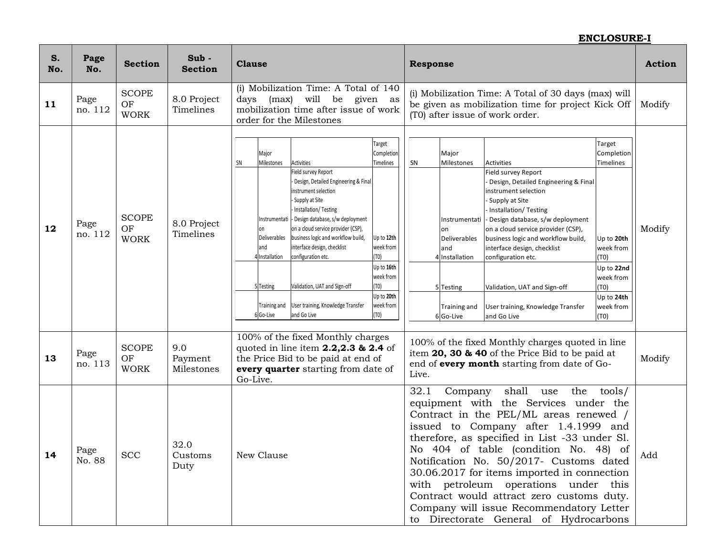| S.<br>No. | Page<br>No.     | <b>Section</b>                    | Sub-<br><b>Section</b>       | <b>Clause</b>                                                                                                                                                                                                                                                                                                                                                                                                                                                                                                                                                                                                                                                                                    | <b>Response</b>                                                                                                                                                                                                                                                                                                                                                                                                                                                                                                                                                                                                                                                                             | <b>Action</b> |
|-----------|-----------------|-----------------------------------|------------------------------|--------------------------------------------------------------------------------------------------------------------------------------------------------------------------------------------------------------------------------------------------------------------------------------------------------------------------------------------------------------------------------------------------------------------------------------------------------------------------------------------------------------------------------------------------------------------------------------------------------------------------------------------------------------------------------------------------|---------------------------------------------------------------------------------------------------------------------------------------------------------------------------------------------------------------------------------------------------------------------------------------------------------------------------------------------------------------------------------------------------------------------------------------------------------------------------------------------------------------------------------------------------------------------------------------------------------------------------------------------------------------------------------------------|---------------|
| 11        | Page<br>no. 112 | <b>SCOPE</b><br>OF<br><b>WORK</b> | 8.0 Project<br>Timelines     | (i) Mobilization Time: A Total of 140<br>days (max) will be given as<br>mobilization time after issue of work<br>order for the Milestones                                                                                                                                                                                                                                                                                                                                                                                                                                                                                                                                                        | (i) Mobilization Time: A Total of 30 days (max) will<br>be given as mobilization time for project Kick Off<br>(T0) after issue of work order.                                                                                                                                                                                                                                                                                                                                                                                                                                                                                                                                               | Modify        |
| 12        | Page<br>no. 112 | <b>SCOPE</b><br>OF<br><b>WORK</b> | 8.0 Project<br>Timelines     | Target<br>Completion<br>Major<br>Milestones<br>Timelines<br>SN<br>Activities<br>Field survey Report<br>Design, Detailed Engineering & Final<br>instrument selection<br>- Supply at Site<br>Installation/Testing<br>Instrumentati - Design database, s/w deployment<br>on a cloud service provider (CSP),<br>on<br>Deliverables<br>business logic and workflow build,<br>Up to 12th<br>interface design, checklist<br>week from<br>land<br>T0)<br>4 Installation<br>configuration etc.<br>Up to 16th<br>week from<br>(TO)<br>Validation, UAT and Sign-off<br>5 Testing<br>Up to 20th<br>week from<br>User training, Knowledge Transfer<br><b>Training and</b><br>and Go Live<br>(TO)<br>6 Go-Live | Target<br>Major<br>Completion<br>Milestones<br>Timelines<br>SN<br>Activities<br>Field survey Report<br>Design, Detailed Engineering & Final<br>instrument selection<br>Supply at Site<br>Installation/Testing<br>- Design database, s/w deployment<br>Instrumentati<br>on a cloud service provider (CSP),<br>lon<br>Deliverables<br>business logic and workflow build,<br>Up to 20th<br>interface design, checklist<br>land<br>week from<br>4 Installation<br>configuration etc.<br>(T0)<br>Up to 22nd<br>week from<br>Validation, UAT and Sign-off<br>(T0)<br>5 Testing<br>Up to 24th<br>week from<br>User training, Knowledge Transfer<br>Training and<br>(70)<br>6Go-Live<br>and Go Live | Modify        |
| 13        | Page<br>no. 113 | <b>SCOPE</b><br>OF<br><b>WORK</b> | 9.0<br>Payment<br>Milestones | 100% of the fixed Monthly charges<br>quoted in line item 2.2,2.3 & 2.4 of<br>the Price Bid to be paid at end of<br>every quarter starting from date of<br>Go-Live.                                                                                                                                                                                                                                                                                                                                                                                                                                                                                                                               | 100% of the fixed Monthly charges quoted in line<br>item 20, 30 & 40 of the Price Bid to be paid at<br>end of every month starting from date of Go-<br>Live.                                                                                                                                                                                                                                                                                                                                                                                                                                                                                                                                | Modify        |
| 14        | Page<br>No. 88  | <b>SCC</b>                        | 32.0<br>Customs<br>Duty      | New Clause                                                                                                                                                                                                                                                                                                                                                                                                                                                                                                                                                                                                                                                                                       | 32.1<br>shall use the tools/<br>Company<br>equipment with the Services under the<br>Contract in the PEL/ML areas renewed /<br>issued to Company after 1.4.1999 and<br>therefore, as specified in List -33 under Sl.<br>No 404 of table (condition No. 48) of<br>Notification No. 50/2017- Customs dated<br>30.06.2017 for items imported in connection<br>with petroleum operations under this<br>Contract would attract zero customs duty.<br>Company will issue Recommendatory Letter<br>to Directorate General of Hydrocarbons                                                                                                                                                           | Add           |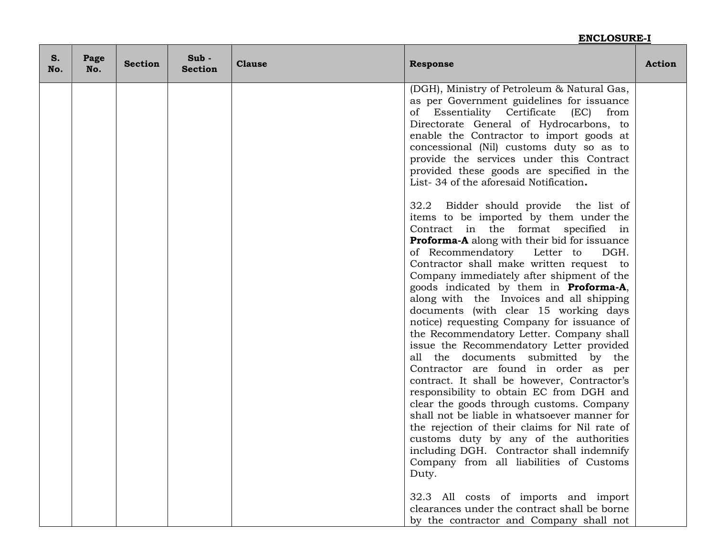| S.<br>No. | Page<br>No. | <b>Section</b> | Sub-<br><b>Section</b> | <b>Clause</b><br><b>Action</b><br><b>Response</b> |                                                                                                                                                                                                                                                                                                                                                                                                                                                                                                                                                                                                                                                                                                                                                                                                                                                                                                                                                                                                                                                              |  |  |
|-----------|-------------|----------------|------------------------|---------------------------------------------------|--------------------------------------------------------------------------------------------------------------------------------------------------------------------------------------------------------------------------------------------------------------------------------------------------------------------------------------------------------------------------------------------------------------------------------------------------------------------------------------------------------------------------------------------------------------------------------------------------------------------------------------------------------------------------------------------------------------------------------------------------------------------------------------------------------------------------------------------------------------------------------------------------------------------------------------------------------------------------------------------------------------------------------------------------------------|--|--|
|           |             |                |                        |                                                   | (DGH), Ministry of Petroleum & Natural Gas,<br>as per Government guidelines for issuance<br>Essentiality Certificate<br>οf<br>(EC)<br>from<br>Directorate General of Hydrocarbons, to<br>enable the Contractor to import goods at<br>concessional (Nil) customs duty so as to<br>provide the services under this Contract<br>provided these goods are specified in the<br>List-34 of the aforesaid Notification.                                                                                                                                                                                                                                                                                                                                                                                                                                                                                                                                                                                                                                             |  |  |
|           |             |                |                        |                                                   | 32.2 Bidder should provide the list of<br>items to be imported by them under the<br>Contract in the format specified in<br><b>Proforma-A</b> along with their bid for issuance<br>of Recommendatory Letter to<br>DGH.<br>Contractor shall make written request to<br>Company immediately after shipment of the<br>goods indicated by them in <b>Proforma-A</b> ,<br>along with the Invoices and all shipping<br>documents (with clear 15 working days<br>notice) requesting Company for issuance of<br>the Recommendatory Letter. Company shall<br>issue the Recommendatory Letter provided<br>all the documents submitted by the<br>Contractor are found in order as per<br>contract. It shall be however, Contractor's<br>responsibility to obtain EC from DGH and<br>clear the goods through customs. Company<br>shall not be liable in whatsoever manner for<br>the rejection of their claims for Nil rate of<br>customs duty by any of the authorities<br>including DGH. Contractor shall indemnify<br>Company from all liabilities of Customs<br>Duty. |  |  |
|           |             |                |                        |                                                   | 32.3 All costs of imports and import<br>clearances under the contract shall be borne<br>by the contractor and Company shall not                                                                                                                                                                                                                                                                                                                                                                                                                                                                                                                                                                                                                                                                                                                                                                                                                                                                                                                              |  |  |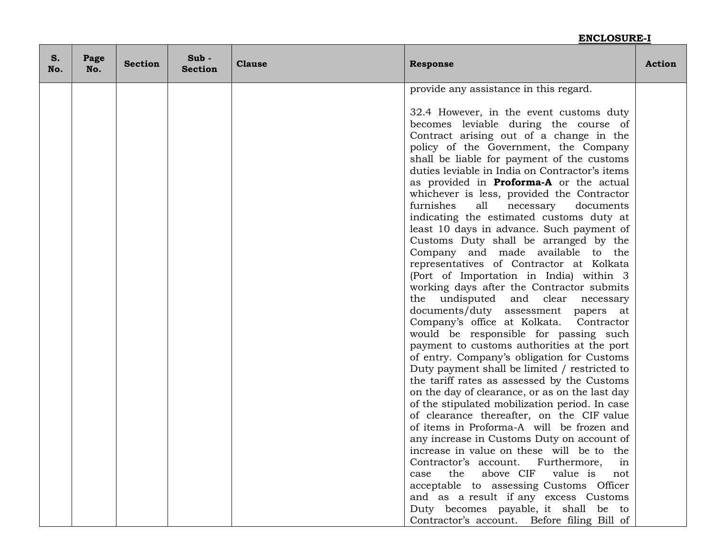| S.<br>No. | Page<br>No. | <b>Section</b> | $Sub -$<br><b>Section</b> | <b>Clause</b><br><b>Response</b> |                                                                                                                                                                                                                                                                                                                                                                                                                                                                                                                                                                                                                                                                                                                                                                                                                                                                                                                                                                                                                                                                                                                                                                                                                                             | <b>Action</b> |
|-----------|-------------|----------------|---------------------------|----------------------------------|---------------------------------------------------------------------------------------------------------------------------------------------------------------------------------------------------------------------------------------------------------------------------------------------------------------------------------------------------------------------------------------------------------------------------------------------------------------------------------------------------------------------------------------------------------------------------------------------------------------------------------------------------------------------------------------------------------------------------------------------------------------------------------------------------------------------------------------------------------------------------------------------------------------------------------------------------------------------------------------------------------------------------------------------------------------------------------------------------------------------------------------------------------------------------------------------------------------------------------------------|---------------|
|           |             |                |                           |                                  | provide any assistance in this regard.                                                                                                                                                                                                                                                                                                                                                                                                                                                                                                                                                                                                                                                                                                                                                                                                                                                                                                                                                                                                                                                                                                                                                                                                      |               |
|           |             |                |                           |                                  | 32.4 However, in the event customs duty<br>becomes leviable during the course of<br>Contract arising out of a change in the<br>policy of the Government, the Company<br>shall be liable for payment of the customs<br>duties leviable in India on Contractor's items<br>as provided in <b>Proforma-A</b> or the actual<br>whichever is less, provided the Contractor<br>furnishes<br>all<br>documents<br>necessary<br>indicating the estimated customs duty at<br>least 10 days in advance. Such payment of<br>Customs Duty shall be arranged by the<br>Company and made available to the<br>representatives of Contractor at Kolkata<br>(Port of Importation in India) within 3<br>working days after the Contractor submits<br>the undisputed and clear necessary<br>documents/duty assessment papers at<br>Company's office at Kolkata. Contractor<br>would be responsible for passing such<br>payment to customs authorities at the port<br>of entry. Company's obligation for Customs<br>Duty payment shall be limited / restricted to<br>the tariff rates as assessed by the Customs<br>on the day of clearance, or as on the last day<br>of the stipulated mobilization period. In case<br>of clearance thereafter, on the CIF value |               |
|           |             |                |                           |                                  | of items in Proforma-A will be frozen and                                                                                                                                                                                                                                                                                                                                                                                                                                                                                                                                                                                                                                                                                                                                                                                                                                                                                                                                                                                                                                                                                                                                                                                                   |               |
|           |             |                |                           |                                  | any increase in Customs Duty on account of                                                                                                                                                                                                                                                                                                                                                                                                                                                                                                                                                                                                                                                                                                                                                                                                                                                                                                                                                                                                                                                                                                                                                                                                  |               |
|           |             |                |                           |                                  | increase in value on these will be to the<br>Contractor's account. Furthermore, in                                                                                                                                                                                                                                                                                                                                                                                                                                                                                                                                                                                                                                                                                                                                                                                                                                                                                                                                                                                                                                                                                                                                                          |               |
|           |             |                |                           |                                  | above CIF value is not<br>the<br>case                                                                                                                                                                                                                                                                                                                                                                                                                                                                                                                                                                                                                                                                                                                                                                                                                                                                                                                                                                                                                                                                                                                                                                                                       |               |
|           |             |                |                           |                                  | acceptable to assessing Customs Officer                                                                                                                                                                                                                                                                                                                                                                                                                                                                                                                                                                                                                                                                                                                                                                                                                                                                                                                                                                                                                                                                                                                                                                                                     |               |
|           |             |                |                           |                                  | and as a result if any excess Customs                                                                                                                                                                                                                                                                                                                                                                                                                                                                                                                                                                                                                                                                                                                                                                                                                                                                                                                                                                                                                                                                                                                                                                                                       |               |
|           |             |                |                           |                                  | Duty becomes payable, it shall be to                                                                                                                                                                                                                                                                                                                                                                                                                                                                                                                                                                                                                                                                                                                                                                                                                                                                                                                                                                                                                                                                                                                                                                                                        |               |
|           |             |                |                           |                                  | Contractor's account. Before filing Bill of                                                                                                                                                                                                                                                                                                                                                                                                                                                                                                                                                                                                                                                                                                                                                                                                                                                                                                                                                                                                                                                                                                                                                                                                 |               |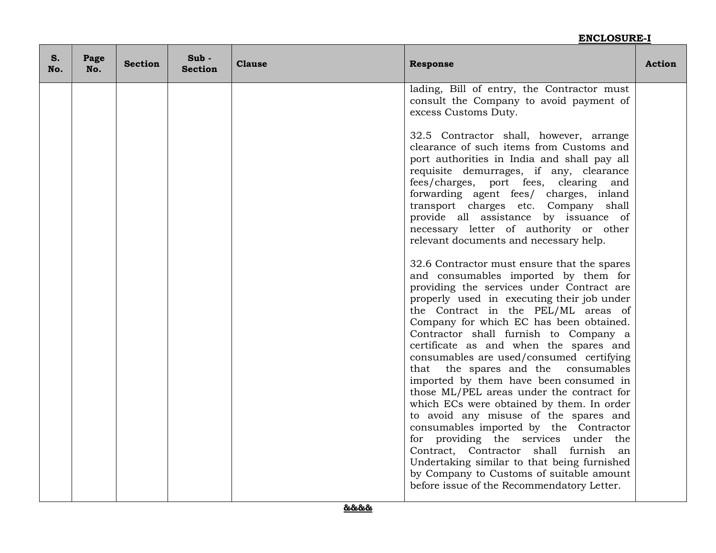| S.<br>No. | Page<br>No. | <b>Section</b> | $Sub -$<br><b>Section</b> | <b>Clause</b><br><b>Response</b> |                                                                                                                                                                                                                                                                                                                                                                                                                                                                                                                                                                            | <b>Action</b> |
|-----------|-------------|----------------|---------------------------|----------------------------------|----------------------------------------------------------------------------------------------------------------------------------------------------------------------------------------------------------------------------------------------------------------------------------------------------------------------------------------------------------------------------------------------------------------------------------------------------------------------------------------------------------------------------------------------------------------------------|---------------|
|           |             |                |                           |                                  | lading, Bill of entry, the Contractor must<br>consult the Company to avoid payment of<br>excess Customs Duty.                                                                                                                                                                                                                                                                                                                                                                                                                                                              |               |
|           |             |                |                           |                                  | 32.5 Contractor shall, however, arrange<br>clearance of such items from Customs and<br>port authorities in India and shall pay all<br>requisite demurrages, if any, clearance<br>fees/charges, port fees, clearing<br>and<br>forwarding agent fees/ charges, inland<br>transport charges etc. Company shall<br>provide all assistance by issuance of<br>necessary letter of authority or other<br>relevant documents and necessary help.                                                                                                                                   |               |
|           |             |                |                           |                                  | 32.6 Contractor must ensure that the spares<br>and consumables imported by them for<br>providing the services under Contract are<br>properly used in executing their job under<br>the Contract in the PEL/ML areas of<br>Company for which EC has been obtained.<br>Contractor shall furnish to Company a<br>certificate as and when the spares and<br>consumables are used/consumed certifying<br>that the spares and the consumables<br>imported by them have been consumed in<br>those ML/PEL areas under the contract for<br>which ECs were obtained by them. In order |               |
|           |             |                |                           |                                  | to avoid any misuse of the spares and<br>consumables imported by the Contractor<br>for providing the services under the<br>Contract, Contractor shall furnish<br>an<br>Undertaking similar to that being furnished<br>by Company to Customs of suitable amount<br>before issue of the Recommendatory Letter.                                                                                                                                                                                                                                                               |               |